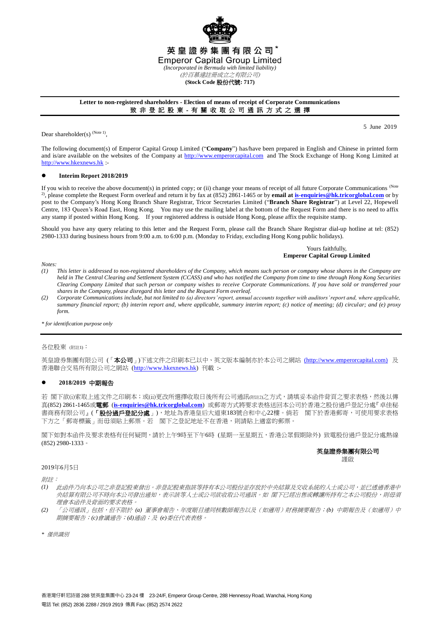

## **Letter to non-registered shareholders - Election of means of receipt of Corporate Communications** 致 非 登 記 股 東 - 有 關 收 取 公 司 通 訊 方 式 之 選 擇

Dear shareholder(s)  $^{(Note 1)}$ ,

5 June 2019

The following document(s) of Emperor Capital Group Limited ("**Company**") has/have been prepared in English and Chinese in printed form and is/are available on the websites of the Company at [http://www.emperorcapital.com](http://www.emperorcapital.com/) and The Stock Exchange of Hong Kong Limited at [http://www.hkexnews.hk](http://www.hkexnews.hk/) :-

### **Interim Report 2018/2019**

If you wish to receive the above document(s) in printed copy; or (ii) change your means of receipt of all future Corporate Communications (Note 2) , please complete the Request Form overleaf and return it by fax at (852) 2861-1465 or by **email a[t is-enquiries@hk.tricorglobal.com](mailto:is-enquiries@hk.tricorglobal.com)** or by post to the Company's Hong Kong Branch Share Registrar, Tricor Secretaries Limited ("**Branch Share Registrar**") at Level 22, Hopewell Centre, 183 Queen's Road East, Hong Kong. You may use the mailing label at the bottom of the Request Form and there is no need to affix any stamp if posted within Hong Kong. If your registered address is outside Hong Kong, please affix the requisite stamp.

Should you have any query relating to this letter and the Request Form, please call the Branch Share Registrar dial-up hotline at tel: (852) 2980-1333 during business hours from 9:00 a.m. to 6:00 p.m. (Monday to Friday, excluding Hong Kong public holidays).

## Yours faithfully, **Emperor Capital Group Limited**

*Notes:*

- *(1) This letter is addressed to non-registered shareholders of the Company, which means such person or company whose shares in the Company are held in The Central Clearing and Settlement System (CCASS) and who has notified the Company from time to time through Hong Kong Securities Clearing Company Limited that such person or company wishes to receive Corporate Communications. If you have sold or transferred your shares in the Company, please disregard this letter and the Request Form overleaf.*
- *(2) Corporate Communications include, but not limited to (a) directors' report, annual accounts together with auditors' report and, where applicable, summary financial report; (b) interim report and, where applicable, summary interim report; (c) notice of meeting; (d) circular; and (e) proxy form.*

*\* for identification purpose only*

#### 各位股東 (附註1):

英皇證券集團有限公司(「本公司」)下述文件之印刷本已以中、英文版本編制亦於本公司之網站[\(http://www.emperorcapital.com\)](http://www.emperorcapital.com/) 及 香港聯合交易所有限公司之網站 [\(http://www.hkexnews.hk\)](http://www.hkexnews.hk/) 刊載 :-

## **2018/2019** 中期報告

若 閣下欲(i)索取上述文件之印刷本;或(ii)更改所選擇收取日後所有公司通訊(附註2)之方式,請填妥本函件背頁之要求表格,然後以傳 真(852) 2861-1465或電郵 (**[is-enquiries@hk.tricorglobal.com](mailto:is-enquiries@hk.tricorglobal.com)**) 或郵寄方式將要求表格送回本公司於香港之股份過戶登記分處『卓佳秘 書商務有限公司』(「**股份過戶登記分處」**),地址為香港皇后大道東183號合和中心22樓。倘若 閣下於香港郵寄,可使用要求表格 下方之「郵寄標籤」而毋須貼上郵票。若 閣下之登記地址不在香港,則請貼上適當的郵票。

閣下如對本函件及要求表格有任何疑問,請於上午9時至下午6時 (星期一至星期五,香港公眾假期除外) 致電股份過戶登記分處熱線 (852) 2980-1333。

#### 英皇證券集團有限公司 謹啟

2019年6月5日

附註:

- *(1)* 此函件乃向本公司之非登記股東發出。非登記股東指該等持有本公司股份並存放於中央結算及交收系統的人士或公司,並已透過香港中 央結算有限公司不時向本公司發出通知,表示該等人士或公司欲收取公司通訊。如 閣下已經出售或轉讓所持有之本公司股份,則毋須 理會本函件及背面的要求表格。
- *(2)* 「公司通訊」包括,但不限於 *(a)* 董事會報告、年度賬目連同核數師報告以及(如適用)財務摘要報告;*(b)* 中期報告及(如適用)中 期摘要報告;*(c)*會議通告;*(d)*通函;及 *(e)*委任代表表格。

*\** 僅供識別